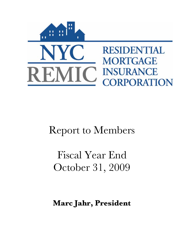

# Report to Members

Fiscal Year End October 31, 2009

**Marc Jahr, President**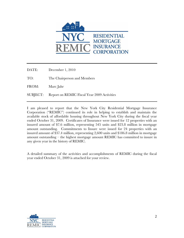

DATE: December 1, 2010

TO: The Chairperson and Members

FROM: Marc Jahr

SUBJECT: Report on REMIC Fiscal Year 2009 Activities

I am pleased to report that the New York City Residential Mortgage Insurance Corporation ("REMIC") continued its role in helping to establish and maintain the available stock of affordable housing throughout New York City during the fiscal year ended October 31, 2009. Certificates of Insurance were issued for 12 properties with an insured amount of \$7.6 million, representing 545 units and \$23.8 million in mortgage amount outstanding. Commitments to Insure were issued for 24 properties with an insured amount of \$37.4 million, representing 2,600 units and \$186.8 million in mortgage amount outstanding – the highest mortgage amount REMIC has committed to insure in any given year in the history of REMIC.

A detailed summary of the activities and accomplishments of REMIC during the fiscal year ended October 31, 2009 is attached for your review.

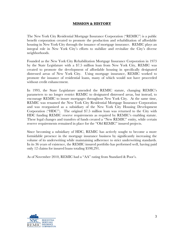## **MISSION & HISTORY**

The New York City Residential Mortgage Insurance Corporation ("REMIC") is a public benefit corporation created to promote the production and rehabilitation of affordable housing in New York City through the issuance of mortgage insurance. REMIC plays an integral role in New York City's efforts to stabilize and revitalize the City's diverse neighborhoods.

Founded as the New York City Rehabilitation Mortgage Insurance Corporation in 1973 by the State Legislature with a \$7.5 million loan from New York City, REMIC was created to promote the development of affordable housing in specifically designated distressed areas of New York City. Using mortgage insurance, REMIC worked to promote the issuance of residential loans, many of which would not have proceeded without credit enhancement.

In 1993, the State Legislature amended the REMIC statute, changing REMIC's parameters to no longer restrict REMIC to designated distressed areas, but instead, to encourage REMIC to insure mortgages throughout New York City. At the same time, REMIC was renamed the New York City Residential Mortgage Insurance Corporation and was reorganized as a subsidiary of the New York City Housing Development Corporation ("HDC"). The original \$7.5 million loan was returned to the City with HDC funding REMIC reserve requirements as required by REMIC's enabling statute. These legal changes and transfers of funds created a "New REMIC" entity, while certain reserve requirements remained in place for the "Old REMIC" insured projects.

Since becoming a subsidiary of HDC, REMIC has actively sought to become a more formidable presence in the mortgage insurance business by significantly increasing the volume of its underwriting while maintaining adherence to strict underwriting standards. In its 36 years of existence, the REMIC insured portfolio has performed well, having paid only 12 claims for insured loans totaling \$598,291.

As of November 2010, REMIC had a "AA" rating from Standard & Poor's.

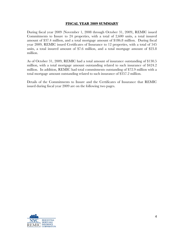#### **FISCAL YEAR 2009 SUMMARY**

During fiscal year 2009 (November 1, 2008 through October 31, 2009), REMIC issued Commitments to Insure to 24 properties, with a total of 2,600 units, a total insured amount of \$37.4 million, and a total mortgage amount of \$186.8 million. During fiscal year 2009, REMIC issued Certificates of Insurance to 12 properties, with a total of 545 units, a total insured amount of \$7.6 million, and a total mortgage amount of \$23.8 million.

As of October 31, 2009, REMIC had a total amount of insurance outstanding of \$130.5 million, with a total mortgage amount outstanding related to such insurance of \$424.2 million. In addition, REMIC had total commitments outstanding of \$72.9 million with a total mortgage amount outstanding related to such insurance of \$357.2 million.

Details of the Commitments to Insure and the Certificates of Insurance that REMIC issued during fiscal year 2009 are on the following two pages.

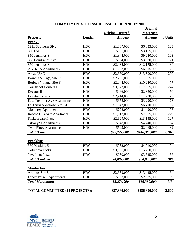| <b>COMMITMENTS TO INSURE ISSUED DURING FY2009:</b> |               |                         |                 |         |
|----------------------------------------------------|---------------|-------------------------|-----------------|---------|
|                                                    |               |                         | <b>Original</b> |         |
|                                                    |               | <b>Original Insured</b> | <b>Mortgage</b> |         |
| <b>Property</b>                                    | <b>Lender</b> | <b>Amount</b>           | <b>Amount</b>   | # Units |
| <b>Bronx:</b>                                      |               |                         |                 |         |
| 1211 Southern Blvd                                 | <b>HDC</b>    | \$1,367,000             | \$6,835,000     | 123     |
| 830 Fox St                                         | <b>HDC</b>    | \$631,000               | \$3,155,000     | 58      |
| 850 Jennings St                                    | <b>HDC</b>    | \$1,844,000             | \$9,220,000     | 103     |
| 868 Courtlandt Ave                                 | <b>HDC</b>    | \$664,000               | \$3,320,000     | 71      |
| 870 Jennings St                                    | <b>HDC</b>    | \$2,435,000             | \$12,175,000    | 84      |
| <b>ABEKEN</b> Apartments                           | <b>HDC</b>    | \$1,263,000             | \$6,315,000     | 120     |
| Arista UAC                                         | <b>HDC</b>    | \$2,660,000             | \$13,300,000    | 290     |
| Boricua Village, Site D                            | <b>HDC</b>    | \$2,201,000             | \$11,005,000    | 80      |
| Boricua Village, Site F                            | <b>HDC</b>    | \$2,044,000             | \$10,220,000    | 77      |
| <b>Courtlandt Corners II</b>                       | <b>HDC</b>    | \$3,573,000             | \$17,865,000    | 224     |
| Decatur II                                         | <b>HDC</b>    | \$466,000               | \$2,330,000     | 50      |
| <b>Decatur Terrace</b>                             | <b>HDC</b>    | \$2,244,000             | \$11,220,000    | 122     |
| <b>East Tremont Ave Apartments</b>                 | <b>HDC</b>    | \$658,000               | \$3,290,000     | 73      |
| La Terraza/Melrose Site B1                         | <b>HDC</b>    | \$1,342,000             | \$6,710,000     | 107     |
| <b>Monterey Apartments</b>                         | <b>HDC</b>    | \$298,000               | \$1,490,000     | 97      |
| <b>Roscoe C Brown Apartments</b>                   | <b>HDC</b>    | \$1,517,000             | \$7,585,000     | 279     |
| <b>Shakespeare Place</b>                           | <b>HDC</b>    | \$2,629,000             | \$13,145,000    | 127     |
| <b>Tiffany St Apartments</b>                       | <b>HDC</b>    | \$848,000               | \$4,240,000     | 84      |
| <b>Twin Pines Apartments</b>                       | <b>HDC</b>    | \$593,000               | \$2,965,000     | 32      |
| <b>Total Bronx:</b>                                |               | \$29,277,000            | \$146,385,000   | 2,201   |
|                                                    |               |                         |                 |         |
| <b>Brooklyn:</b>                                   |               |                         |                 |         |
| 550 Watkins St                                     | <b>HDC</b>    | \$982,000               | \$4,910,000     | 104     |
| Columbia Hicks                                     | <b>HDC</b>    | \$3,056,000             | \$15,280,000    | 95      |
| <b>New Lots Plaza</b>                              | <b>HDC</b>    | \$769,000               | \$3,845,000     | 87      |
| <b>Total Brooklyn:</b>                             |               | \$4,807,000             | \$24,035,000    | 286     |
|                                                    |               |                         |                 |         |
| <b>Manhattan:</b>                                  |               |                         |                 |         |
| Artimus Site 8                                     | <b>HDC</b>    | \$2,689,000             | \$13,445,000    | 54      |
| <b>Lenox Powell Apartments</b>                     | <b>HDC</b>    | \$587,000               | \$2,935,000     | 59      |
| <b>Total Manhattan:</b>                            |               | \$3,276,000             | \$16,380,000    | 113     |
| <b>TOTAL COMMITTED (24 PROJECTS):</b>              |               | \$37,360,000            | \$186,800,000   | 2,600   |

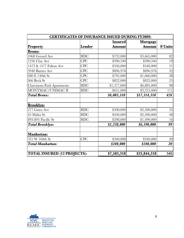| <b>CERTIFICATES OF INSURANCE ISSUED DURING FY2009:</b> |            |                |                 |         |
|--------------------------------------------------------|------------|----------------|-----------------|---------|
|                                                        |            | <b>Insured</b> | <b>Mortgage</b> |         |
| <b>Property</b>                                        | Lender     | Amount         | Amount          | # Units |
| Bronx:                                                 |            |                |                 |         |
| 1068 Gerard Ave                                        | <b>HDC</b> | \$733,000      | \$3,665,000     | 82      |
| 1256 Clay Ave                                          | <b>CPC</b> | \$390,340      | \$390,340       | 19      |
| 1473 & 1477 Fulton Ave                                 | <b>CPC</b> | \$340,000      | \$340,000       | 21      |
| 3940 Barnes Ave                                        | <b>CPC</b> | \$896,978      | \$896,978       | 32      |
| 680 E 140th St                                         | <b>CPC</b> | \$795,000      | \$1,060,000     | 38      |
| 866 Beck St                                            | <b>CPC</b> | \$822,000      | \$822,000       | 25      |
| <b>Claremont Park Apartments</b>                       | <b>HDC</b> | \$1,377,000    | \$6,885,000     | 98      |
| MONTMAC/UNIMAC II                                      | <b>HDC</b> | \$651,000      | \$3,255,000     | 111     |
| <b>Total Bronx:</b>                                    |            | \$6,005,318    | \$17,314,318    | 426     |
| <b>Brooklyn:</b>                                       |            |                |                 |         |
| 277 Gates Ave                                          | <b>HDC</b> | \$500,000      | \$2,500,000     | 35      |
| 45 Malta St                                            | <b>HDC</b> | \$440,000      | \$2,200,000     | 48      |
| 893-895 Pacific St                                     | <b>HDC</b> | \$298,000      | \$1,490,000     | 16      |
| <b>Total Brooklyn:</b>                                 |            | \$1,238,000    | \$6,190,000     | 99      |
| Manhattan:                                             |            |                |                 |         |
| 531 W 160th St                                         | <b>CPC</b> | \$340,000      | \$340,000       | 20      |
| <b>Total Manhattan:</b>                                |            | \$340,000      | \$340,000       | 20      |
| <b>TOTAL INSURED (12 PROJECTS):</b>                    |            | \$7,583,318    | \$23,844,318    | 545     |

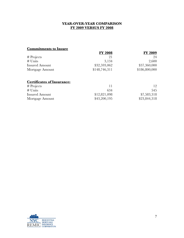# **YEAR-OVER-YEAR COMPARISON FY 2009 VERSUS FY 2008**

# **Commitments to Insure**

|                 | <b>FY 2008</b> | <b>FY 2009</b> |
|-----------------|----------------|----------------|
| # Projects      | 21             | 94             |
| # Units         | 3,134          | 2,600          |
| Insured Amount  | \$32,593,062   | \$37,360,000   |
| Mortgage Amount | \$148,746,311  | \$186,800,000  |
|                 |                |                |

# **Certificates of Insurance:**

| $#$ Projects          |              |              |
|-----------------------|--------------|--------------|
| $#$ Units             | 634          | 545          |
| <b>Insured Amount</b> | \$12,821,098 | \$7,583,318  |
| Mortgage Amount       | \$43,200,195 | \$23,844,318 |

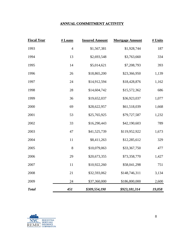# **ANNUAL COMMITMENT ACTIVITY**

| <b>Fiscal Year</b> | # Loans        | <b>Insured Amount</b> | <b>Mortgage Amount</b> | # Units |
|--------------------|----------------|-----------------------|------------------------|---------|
| 1993               | $\overline{4}$ | \$1,567,381           | \$1,928,744            | 187     |
| 1994               | 13             | \$2,693,548           | \$3,763,660            | 334     |
| 1995               | 14             | \$5,014,621           | \$7,208,793            | 393     |
| 1996               | 26             | \$18,865,200          | \$23,366,950           | 1,139   |
| 1997               | 24             | \$14,912,594          | \$18,428,876           | 1,162   |
| 1998               | 28             | \$14,604,742          | \$15,572,362           | 686     |
| 1999               | 36             | \$19,652,037          | \$36,923,037           | 1,077   |
| 2000               | 69             | \$28,622,957          | \$61,518,039           | 1,668   |
| 2001               | 53             | \$25,765,925          | \$79,727,587           | 1,232   |
| 2002               | 33             | \$16,290,443          | \$42,190,603           | 789     |
| 2003               | 47             | \$41,525,739          | \$119,952,922          | 1,673   |
| 2004               | 11             | \$8,411,263           | \$12,285,612           | 329     |
| 2005               | $8\,$          | \$10,079,063          | \$33,367,750           | 477     |
| 2006               | 29             | \$20,673,355          | \$73,358,770           | 1,427   |
| 2007               | 11             | \$10,922,260          | \$58,041,298           | 751     |
| 2008               | 21             | \$32,593,062          | \$148,746,311          | 3,134   |
| 2009               | 24             | \$37,360,000          | \$186,800,000          | 2,600   |
| <b>Total</b>       | 451            | \$309,554,190         | \$923,181,314          | 19,058  |

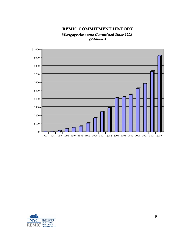# **REMIC COMMITMENT HISTORY**

*Mortgage Amounts Committed Since 1993 (\$Millions)*



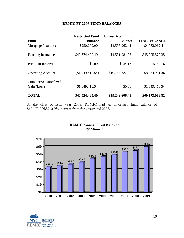## **REMIC FY 2009 FUND BALANCES**

|                                        | <b>Restricted Fund</b> | <b>Unrestricted Fund</b> |                      |
|----------------------------------------|------------------------|--------------------------|----------------------|
| <b>Fund</b>                            | <b>Balance</b>         | <b>Balance</b>           | <b>TOTAL BALANCE</b> |
| Mortgage Insurance                     | \$250,000.00           | \$4,533,062.41           | \$4,783,062.41       |
| <b>Housing Insurance</b>               | \$40,674,490.40        | \$4,531,081.95           | \$45,205,572.35      |
| <b>Premium Reserve</b>                 | \$0.00                 | \$134.16                 | \$134.16             |
| <b>Operating Account</b>               | (\$1,649,416.54)       | \$10,184,327.90          | \$8,534,911.36       |
| Cumulative Unrealized<br>Gain / (Loss) | \$1,649,416.54         | \$0.00                   | \$1,649,416.54       |
| <b>TOTAL</b>                           | \$40,924,490.40        | \$19,248,606.42          | \$60,173,096.82      |

At the close of fiscal year 2009, REMIC had an amortized fund balance of \$60,173,096.82, a 9% increase from fiscal year-end 2008.

## **REMIC Annual Fund Balance** *(\$Millions)*



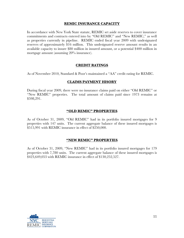#### **REMIC INSURANCE CAPACITY**

In accordance with New York State statute, REMIC set aside reserves to cover insurance commitments and contracts entered into by "Old REMIC" and "New REMIC," as well as properties currently in pipeline. REMIC ended fiscal year 2009 with undesignated reserves of approximately \$16 million. This undesignated reserve amount results in an available capacity to insure \$80 million in insured amount, or a potential \$400 million in mortgage amount (assuming 20% insurance).

#### **CREDIT RATINGS**

As of November 2010, Standard & Poor's maintained a "AA" credit rating for REMIC.

## **CLAIMS PAYMENT HISORY**

During fiscal year 2009, there were no insurance claims paid on either "Old REMIC" or "New REMIC" properties. The total amount of claims paid since 1973 remains at \$598,291.

#### **"OLD REMIC" PROPERTIES**

As of October 31, 2009, "Old REMIC" had in its portfolio insured mortgages for 9 properties with 147 units. The current aggregate balance of these insured mortgages is \$515,991 with REMIC insurance in effect of \$250,000.

## **"NEW REMIC" PROPERTIES**

As of October 31, 2009, "New REMIC" had in its portfolio insured mortgages for 179 properties with 7,780 units. The current aggregate balance of these insured mortgages is \$423,649,053 with REMIC insurance in effect of \$130,252,527.

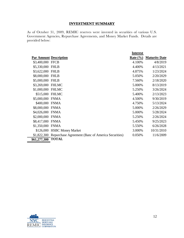# **INVESTMENT SUMMARY**

As of October 31, 2009, REMIC reserves were invested in securities of various U.S. Government Agencies, Repurchase Agreements, and Money Market Funds. Details are provided below:

|                   |                                                               | <b>Interest</b> |                      |
|-------------------|---------------------------------------------------------------|-----------------|----------------------|
|                   | <b>Par Amount Description</b>                                 | Rate $(\% )$    | <b>Maturity Date</b> |
| \$3,400,000 FFCB  |                                                               | 4.100%          | 4/8/2019             |
| \$5,330,000 FHLB  |                                                               | 4.400%          | 4/13/2021            |
| \$3,622,000 FHLB  |                                                               | 4.875%          | 1/23/2024            |
| \$8,000,000 FHLB  |                                                               | 5.050%          | 2/20/2029            |
| \$5,000,000 FHLB  |                                                               | 7.560%          | 2/18/2020            |
| \$3,269,000 FHLMC |                                                               | 5.000%          | 8/13/2019            |
| \$1,000,000 FHLMC |                                                               | 5.250%          | 3/26/2024            |
|                   | \$515,000 FHLMC                                               | 5.400%          | 2/13/2023            |
| \$5,000,000 FNMA  |                                                               | 4.500%          | 9/30/2019            |
| \$400,000 FNMA    |                                                               | 4.750%          | 5/13/2024            |
| \$8,000,000 FNMA  |                                                               | 5.000%          | 2/26/2029            |
| \$4,026,000 FNMA  |                                                               | 5.000%          | 5/28/2024            |
| \$2,000,000 FNMA  |                                                               | 5.250%          | 2/26/2024            |
| \$8,417,000 FNMA  |                                                               | 5.450%          | 9/25/2023            |
| \$1,350,000 FNMA  |                                                               | 5.550%          | 6/26/2028            |
|                   | \$126,000 HSBC Money Market                                   | 3.000%          | 10/31/2010           |
|                   | \$1,822,300 Repurchase Agreement (Banc of America Securities) | 0.050%          | 11/6/2009            |
| \$61,277,300      | <b>TOTAL</b>                                                  |                 |                      |

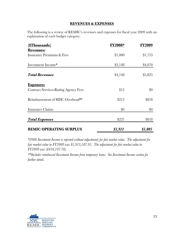### **REVENUES & EXPENSES**

The following is a review of REMIC's revenues and expenses for fiscal year 2009 with an explanation of each budget category:

| (\$Thousands)                               | <b>FY2008*</b> | <b>FY2009</b> |
|---------------------------------------------|----------------|---------------|
| <b>Revenues:</b>                            |                |               |
| Insurance Premiums & Fees                   | \$1,000        | \$1,753       |
|                                             |                |               |
| Investment Income*                          | \$3,148        | \$4,070       |
| <b>Total Revenues</b>                       | \$4,148        | \$5,823       |
| <b>Expenses:</b>                            |                |               |
| <b>Contract Services-Rating Agency Fees</b> | \$15           | $\$0$         |
| Reimbursement of HDC Overhead**             | \$213          | \$818         |
| Insurance Claims                            | \$0            | \$0           |
| <b>Total Expenses</b>                       | \$227          | \$818         |
| <b>REMIC OPERATING SURPLUS</b>              | \$3,921        | \$5,005       |

*\*2008 Investment Income is reported without adjustments for fair market value. The adjustment for fair market value in FY2008 was \$1,913,187.95. The adjustment for fair market value in FY2009 was (\$418,197.78).*

*\*\*Includes reimbursed Investment Income from temporary loans. See Investment Income section for further detail.*